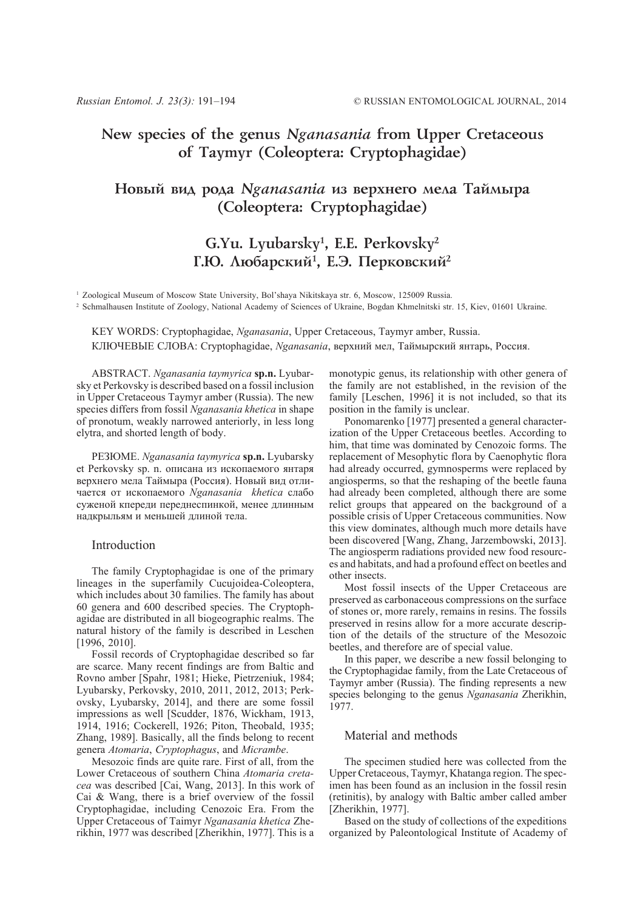# **New species of the genus** *Nganasania* **from Upper Cretaceous of Taymyr (Coleoptera: Cryptophagidae)**

# Новый вид рода Nganasania из верхнего мела Таймыра **(Coleoptera: Cryptophagidae)**

# **G.Yu. Lyubarsky1 , E.E. Perkovsky2** Г.Ю. Любарский<sup>1</sup>, Е.Э. Перковский<sup>2</sup>

<sup>1</sup> Zoological Museum of Moscow State University, Bol'shaya Nikitskaya str. 6, Moscow, 125009 Russia.

<sup>2</sup> Schmalhausen Institute of Zoology, National Academy of Sciences of Ukraine, Bogdan Khmelnitski str. 15, Kiev, 01601 Ukraine.

KEY WORDS: Cryptophagidae, *Nganasania*, Upper Cretaceous, Taymyr amber, Russia. КЛЮЧЕВЫЕ СЛОВА: Cryptophagidae, *Nganasania*, верхний мел, Таймырский янтарь, Россия.

ABSTRACT. *Nganasania taymyrica* **sp.n.** Lyubarsky et Perkovsky is described based on a fossil inclusion in Upper Cretaceous Taymyr amber (Russia). The new species differs from fossil *Nganasania khetica* in shape of pronotum, weakly narrowed anteriorly, in less long elytra, and shorted length of body.

РЕЗЮМЕ. *Nganasania taymyrica* **sp.n.** Lyubarsky et Perkovsky sp. n. описана из ископаемого янтаря верхнего мела Таймыра (Россия). Новый вид отличается от ископаемого *Nganasania khetica* слабо суженой кпереди переднеспинкой, менее длинным надкрыльям и меньшей длиной тела.

### Introduction

The family Cryptophagidae is one of the primary lineages in the superfamily Cucujoidea-Coleoptera, which includes about 30 families. The family has about 60 genera and 600 described species. The Cryptophagidae are distributed in all biogeographic realms. The natural history of the family is described in Leschen [1996, 2010].

Fossil records of Cryptophagidae described so far are scarce. Many recent findings are from Baltic and Rovno amber [Spahr, 1981; Hieke, Pietrzeniuk, 1984; Lyubarsky, Perkovsky, 2010, 2011, 2012, 2013; Perkovsky, Lyubarsky, 2014], and there are some fossil impressions as well [Scudder, 1876, Wickham, 1913, 1914, 1916; Cockerell, 1926; Piton, Theobald, 1935; Zhang, 1989]. Basically, all the finds belong to recent genera *Atomaria*, *Cryptophagus*, and *Micrambe*.

Mesozoic finds are quite rare. First of all, from the Lower Cretaceous of southern China *Atomaria cretacea* was described [Cai, Wang, 2013]. In this work of Cai & Wang, there is a brief overview of the fossil Cryptophagidae, including Cenozoic Era. From the Upper Cretaceous of Taimyr *Nganasania khetica* Zherikhin, 1977 was described [Zherikhin, 1977]. This is a

monotypic genus, its relationship with other genera of the family are not established, in the revision of the family [Leschen, 1996] it is not included, so that its position in the family is unclear.

Ponomarenko [1977] presented a general characterization of the Upper Cretaceous beetles. According to him, that time was dominated by Cenozoic forms. The replacement of Mesophytic flora by Caenophytic flora had already occurred, gymnosperms were replaced by angiosperms, so that the reshaping of the beetle fauna had already been completed, although there are some relict groups that appeared on the background of a possible crisis of Upper Cretaceous communities. Now this view dominates, although much more details have been discovered [Wang, Zhang, Jarzembowski, 2013]. The angiosperm radiations provided new food resources and habitats, and had a profound effect on beetles and other insects.

Most fossil insects of the Upper Cretaceous are preserved as carbonaceous compressions on the surface of stones or, more rarely, remains in resins. The fossils preserved in resins allow for a more accurate description of the details of the structure of the Mesozoic beetles, and therefore are of special value.

In this paper, we describe a new fossil belonging to the Cryptophagidae family, from the Late Cretaceous of Taymyr amber (Russia). The finding represents a new species belonging to the genus *Nganasania* Zherikhin, 1977.

## Material and methods

The specimen studied here was collected from the Upper Cretaceous, Taymyr, Khatanga region. The specimen has been found as an inclusion in the fossil resin (retinitis), by analogy with Baltic amber called amber [Zherikhin, 1977].

Based on the study of collections of the expeditions organized by Paleontological Institute of Academy of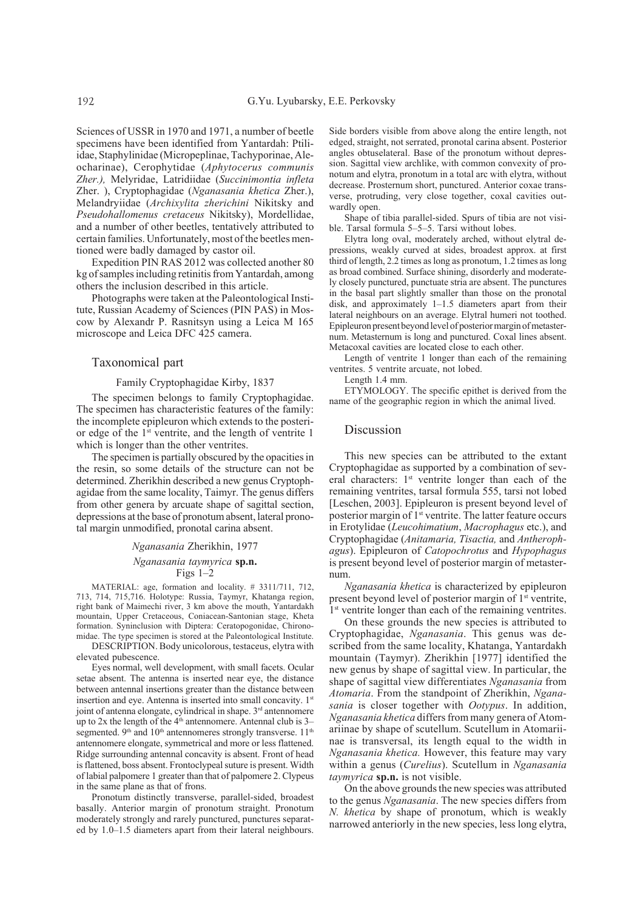Sciences of USSR in 1970 and 1971, a number of beetle specimens have been identified from Yantardah: Ptiliidae, Staphylinidae (Micropeplinae, Tachyporinae, Aleocharinae), Cerophytidae (*Aphytocerus communis Zher.),* Melyridae, Latridiidae (*Succinimontia infleta* Zher. ), Cryptophagidae (*Nganasania khetica* Zher.), Melandryiidae (*Archixylita zherichini* Nikitsky and *Pseudohallomenus cretaceus* Nikitsky), Mordellidae, and a number of other beetles, tentatively attributed to certain families. Unfortunately, most of the beetles mentioned were badly damaged by castor oil.

Expedition PIN RAS 2012 was collected another 80 kg of samples including retinitis from Yantardah, among others the inclusion described in this article.

Photographs were taken at the Paleontological Institute, Russian Academy of Sciences (PIN PAS) in Moscow by Alexandr P. Rasnitsyn using a Leica M 165 microscope and Leica DFC 425 camera.

## Taxonomical part

#### Family Cryptophagidae Kirby, 1837

The specimen belongs to family Cryptophagidae. The specimen has characteristic features of the family: the incomplete epipleuron which extends to the posterior edge of the  $1<sup>st</sup>$  ventrite, and the length of ventrite 1 which is longer than the other ventrites.

The specimen is partially obscured by the opacities in the resin, so some details of the structure can not be determined. Zherikhin described a new genus Cryptophagidae from the same locality, Taimyr. The genus differs from other genera by arcuate shape of sagittal section, depressions at the base of pronotum absent, lateral pronotal margin unmodified, pronotal carina absent.

#### *Nganasania* Zherikhin, 1977

#### *Nganasania taymyrica* **sp.n.**

### Figs 1–2

MATERIAL: age, formation and locality. # 3311/711, 712, 713, 714, 715,716. Holotype: Russia, Taymyr, Khatanga region, right bank of Maimechi river, 3 km above the mouth, Yantardakh mountain, Upper Cretaceous, Coniacean-Santonian stage, Kheta formation. Syninclusion with Diptera: Ceratopogonidae, Chironomidae. The type specimen is stored at the Paleontological Institute.

DESCRIPTION. Body unicolorous, testaceus, elytra with elevated pubescence.

Eyes normal, well development, with small facets. Ocular setae absent. The antenna is inserted near eye, the distance between antennal insertions greater than the distance between insertion and eye. Antenna is inserted into small concavity. 1<sup>st</sup> joint of antenna elongate, cylindrical in shape. 3<sup>rd</sup> antennomere up to  $2x$  the length of the  $4<sup>th</sup>$  antennomere. Antennal club is  $3$ segmented. 9<sup>th</sup> and 10<sup>th</sup> antennomeres strongly transverse. 11<sup>th</sup> antennomere elongate, symmetrical and more or less flattened. Ridge surrounding antennal concavity is absent. Front of head is flattened, boss absent. Frontoclypeal suture is present. Width of labial palpomere 1 greater than that of palpomere 2. Clypeus in the same plane as that of frons.

Pronotum distinctly transverse, parallel-sided, broadest basally. Anterior margin of pronotum straight. Pronotum moderately strongly and rarely punctured, punctures separated by 1.0–1.5 diameters apart from their lateral neighbours.

Side borders visible from above along the entire length, not edged, straight, not serrated, pronotal carina absent. Posterior angles obtuselateral. Base of the pronotum without depression. Sagittal view archlike, with common convexity of pronotum and elytra, pronotum in a total arc with elytra, without decrease. Prosternum short, punctured. Anterior coxae transverse, protruding, very close together, coxal cavities outwardly open.

Shape of tibia parallel-sided. Spurs of tibia are not visible. Tarsal formula 5–5–5. Tarsi without lobes.

Elytra long oval, moderately arched, without elytral depressions, weakly curved at sides, broadest approx. at first third of length, 2.2 times as long as pronotum, 1.2 times as long as broad combined. Surface shining, disorderly and moderately closely punctured, punctuate stria are absent. The punctures in the basal part slightly smaller than those on the pronotal disk, and approximately 1–1.5 diameters apart from their lateral neighbours on an average. Elytral humeri not toothed. Epipleuron present beyond level of posterior margin of metasternum. Metasternum is long and punctured. Coxal lines absent. Metacoxal cavities are located close to each other.

Length of ventrite 1 longer than each of the remaining ventrites. 5 ventrite arcuate, not lobed.

Length 1.4 mm

ETYMOLOGY. The specific epithet is derived from the name of the geographic region in which the animal lived.

### Discussion

This new species can be attributed to the extant Cryptophagidae as supported by a combination of several characters: 1<sup>st</sup> ventrite longer than each of the remaining ventrites, tarsal formula 555, tarsi not lobed [Leschen, 2003]. Epipleuron is present beyond level of posterior margin of 1<sup>st</sup> ventrite. The latter feature occurs in Erotylidae (*Leucohimatium*, *Macrophagus* etc.), and Cryptophagidae (*Anitamaria, Tisactia,* and *Antherophagus*). Epipleuron of *Catopochrotus* and *Hypophagus* is present beyond level of posterior margin of metasternum.

*Nganasania khetica* is characterized by epipleuron present beyond level of posterior margin of 1st ventrite, <sup>1st</sup> ventrite longer than each of the remaining ventrites.

On these grounds the new species is attributed to Cryptophagidae, *Nganasania*. This genus was described from the same locality, Khatanga, Yantardakh mountain (Taymyr). Zherikhin [1977] identified the new genus by shape of sagittal view. In particular, the shape of sagittal view differentiates *Nganasania* from *Atomaria*. From the standpoint of Zherikhin, *Nganasania* is closer together with *Ootypus*. In addition, *Nganasania khetica* differs from many genera of Atomariinae by shape of scutellum. Scutellum in Atomariinae is transversal, its length equal to the width in *Nganasania khetica.* However, this feature may vary within a genus (*Curelius*). Scutellum in *Nganasania taymyrica* **sp.n.** is not visible.

On the above grounds the new species was attributed to the genus *Nganasania*. The new species differs from *N. khetica* by shape of pronotum, which is weakly narrowed anteriorly in the new species, less long elytra,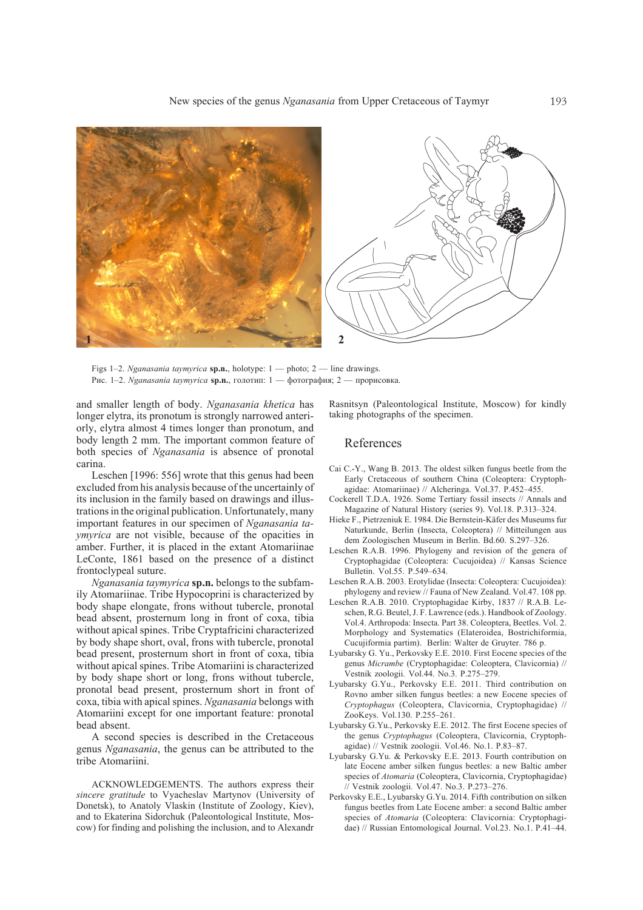

Figs 1–2. *Nganasania taymyrica* **sp.n.**, holotype: 1 — photo; 2 — line drawings. Рис. 1–2. *Nganasania taymyrica* **sp.n.**, голотип: 1 — фотография; 2 — прорисовка.

and smaller length of body. *Nganasania khetica* has longer elytra, its pronotum is strongly narrowed anteriorly, elytra almost 4 times longer than pronotum, and body length 2 mm. The important common feature of both species of *Nganasania* is absence of pronotal carina.

Leschen [1996: 556] wrote that this genus had been excluded from his analysis because of the uncertainly of its inclusion in the family based on drawings and illustrations in the original publication. Unfortunately, many important features in our specimen of *Nganasania taymyrica* are not visible, because of the opacities in amber. Further, it is placed in the extant Atomariinae LeConte, 1861 based on the presence of a distinct frontoclypeal suture.

*Nganasania taymyrica* **sp.n.** belongs to the subfamily Atomariinae. Tribe Hypocoprini is characterized by body shape elongate, frons without tubercle, pronotal bead absent, prosternum long in front of coxa, tibia without apical spines. Tribe Cryptafricini characterized by body shape short, oval, frons with tubercle, pronotal bead present, prosternum short in front of coxa, tibia without apical spines. Tribe Atomariini is characterized by body shape short or long, frons without tubercle, pronotal bead present, prosternum short in front of coxa, tibia with apical spines. *Nganasania* belongs with Atomariini except for one important feature: pronotal bead absent.

A second species is described in the Cretaceous genus *Nganasania*, the genus can be attributed to the tribe Atomariini.

ACKNOWLEDGEMENTS. The authors express their *sincere gratitude* to Vyacheslav Martynov (University of Donetsk), to Anatoly Vlaskin (Institute of Zoology, Kiev), and to Ekaterina Sidorchuk (Paleontological Institute, Moscow) for finding and polishing the inclusion, and to Alexandr

Rasnitsyn (Paleontological Institute, Moscow) for kindly taking photographs of the specimen.

# References

- Cai C.-Y., Wang B. 2013. The oldest silken fungus beetle from the Early Cretaceous of southern China (Coleoptera: Cryptophagidae: Atomariinae) // Alcheringa. Vol.37. P.452–455.
- Cockerell T.D.A. 1926. Some Tertiary fossil insects // Annals and Magazine of Natural History (series 9). Vol.18. P.313–324.
- Hieke F., Pietrzeniuk E. 1984. Die Bernstein-Käfer des Museums fur Naturkunde, Berlin (Insecta, Coleoptera) // Mitteilungen aus dem Zoologischen Museum in Berlin. Bd.60. S.297–326.
- Leschen R.A.B. 1996. Phylogeny and revision of the genera of Cryptophagidae (Coleoptera: Cucujoidea) // Kansas Science Bulletin. Vol.55. P.549–634.
- Leschen R.A.B. 2003. Erotylidae (Insecta: Coleoptera: Cucujoidea): phylogeny and review // Fauna of New Zealand. Vol.47. 108 pp.
- Leschen R.A.B. 2010. Cryptophagidae Kirby, 1837 // R.A.B. Leschen, R.G. Beutel, J. F. Lawrence (eds.). Handbook of Zoology. Vol.4. Arthropoda: Insecta. Part 38. Coleoptera, Beetles. Vol. 2. Morphology and Systematics (Elateroidea, Bostrichiformia, Cucujiformia partim). Berlin: Walter de Gruyter. 786 p.
- Lyubarsky G. Yu., Perkovsky E.E. 2010. First Eocene species of the genus *Micrambe* (Cryptophagidae: Coleoptera, Clavicornia) // Vestnik zoologii*.* Vol.44. No.3. P.275–279.
- Lyubarsky G.Yu., Perkovsky E.E. 2011. Third contribution on Rovno amber silken fungus beetles: a new Eocene species of *Cryptophagus* (Coleoptera, Clavicornia, Cryptophagidae) // ZooKeys. Vol.130. P.255–261.
- Lyubarsky G.Yu., Perkovsky E.E. 2012. The first Eocene species of the genus *Cryptophagus* (Coleoptera, Clavicornia, Cryptophagidae) // Vestnik zoologii. Vol.46. No.1. P.83–87.
- Lyubarsky G.Yu. & Perkovsky E.E. 2013. Fourth contribution on late Eocene amber silken fungus beetles: a new Baltic amber species of *Atomaria* (Coleoptera, Clavicornia, Cryptophagidae) // Vestnik zoologii*.* Vol.47. No.3. P.273–276.
- Perkovsky E.E., Lyubarsky G.Yu. 2014. Fifth contribution on silken fungus beetles from Late Eocene amber: a second Baltic amber species of *Atomaria* (Coleoptera: Clavicornia: Cryptophagidae) // Russian Entomological Journal. Vol.23. No.1. P.41–44.